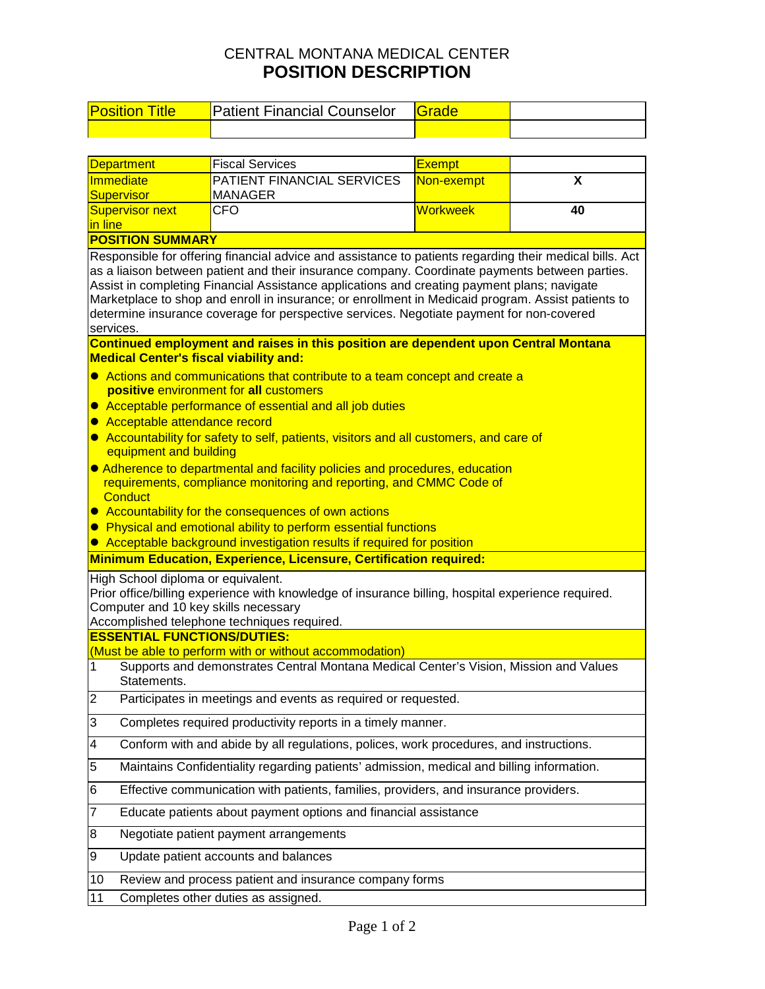## CENTRAL MONTANA MEDICAL CENTER **POSITION DESCRIPTION**

| <b>Position Title</b>                                                                                                                                                                                                                                                                                                                                                                                                                                                                                                   | <b>Patient Financial Counselor</b>                     | Grade           |    |  |  |  |
|-------------------------------------------------------------------------------------------------------------------------------------------------------------------------------------------------------------------------------------------------------------------------------------------------------------------------------------------------------------------------------------------------------------------------------------------------------------------------------------------------------------------------|--------------------------------------------------------|-----------------|----|--|--|--|
|                                                                                                                                                                                                                                                                                                                                                                                                                                                                                                                         |                                                        |                 |    |  |  |  |
|                                                                                                                                                                                                                                                                                                                                                                                                                                                                                                                         |                                                        |                 |    |  |  |  |
| <b>Department</b>                                                                                                                                                                                                                                                                                                                                                                                                                                                                                                       | <b>Fiscal Services</b>                                 | <b>Exempt</b>   |    |  |  |  |
| Immediate<br><b>Supervisor</b>                                                                                                                                                                                                                                                                                                                                                                                                                                                                                          | PATIENT FINANCIAL SERVICES<br><b>MANAGER</b>           | Non-exempt      | X  |  |  |  |
| <b>Supervisor next</b>                                                                                                                                                                                                                                                                                                                                                                                                                                                                                                  | CFO                                                    | <b>Workweek</b> | 40 |  |  |  |
| in line                                                                                                                                                                                                                                                                                                                                                                                                                                                                                                                 |                                                        |                 |    |  |  |  |
| <b>POSITION SUMMARY</b>                                                                                                                                                                                                                                                                                                                                                                                                                                                                                                 |                                                        |                 |    |  |  |  |
| Responsible for offering financial advice and assistance to patients regarding their medical bills. Act<br>as a liaison between patient and their insurance company. Coordinate payments between parties.<br>Assist in completing Financial Assistance applications and creating payment plans; navigate<br>Marketplace to shop and enroll in insurance; or enrollment in Medicaid program. Assist patients to<br>determine insurance coverage for perspective services. Negotiate payment for non-covered<br>services. |                                                        |                 |    |  |  |  |
| Continued employment and raises in this position are dependent upon Central Montana                                                                                                                                                                                                                                                                                                                                                                                                                                     |                                                        |                 |    |  |  |  |
| <b>Medical Center's fiscal viability and:</b>                                                                                                                                                                                                                                                                                                                                                                                                                                                                           |                                                        |                 |    |  |  |  |
| • Actions and communications that contribute to a team concept and create a<br>positive environment for all customers<br>• Acceptable performance of essential and all job duties<br>Acceptable attendance record<br>$\bullet$<br>Accountability for safety to self, patients, visitors and all customers, and care of<br>$\bullet$<br>equipment and building                                                                                                                                                           |                                                        |                 |    |  |  |  |
| • Adherence to departmental and facility policies and procedures, education<br>requirements, compliance monitoring and reporting, and CMMC Code of<br><b>Conduct</b><br>• Accountability for the consequences of own actions<br>Physical and emotional ability to perform essential functions<br>$\bullet$<br>Acceptable background investigation results if required for position<br>$\bullet$                                                                                                                         |                                                        |                 |    |  |  |  |
| Minimum Education, Experience, Licensure, Certification required:                                                                                                                                                                                                                                                                                                                                                                                                                                                       |                                                        |                 |    |  |  |  |
| High School diploma or equivalent.<br>Prior office/billing experience with knowledge of insurance billing, hospital experience required.<br>Computer and 10 key skills necessary<br>Accomplished telephone techniques required.                                                                                                                                                                                                                                                                                         |                                                        |                 |    |  |  |  |
| <b>ESSENTIAL FUNCTIONS/DUTIES:</b>                                                                                                                                                                                                                                                                                                                                                                                                                                                                                      |                                                        |                 |    |  |  |  |
| (Must be able to perform with or without accommodation)<br>1<br>Supports and demonstrates Central Montana Medical Center's Vision, Mission and Values<br>Statements.                                                                                                                                                                                                                                                                                                                                                    |                                                        |                 |    |  |  |  |
| $\overline{2}$<br>Participates in meetings and events as required or requested.                                                                                                                                                                                                                                                                                                                                                                                                                                         |                                                        |                 |    |  |  |  |
| 3<br>Completes required productivity reports in a timely manner.                                                                                                                                                                                                                                                                                                                                                                                                                                                        |                                                        |                 |    |  |  |  |
| 4<br>Conform with and abide by all regulations, polices, work procedures, and instructions.                                                                                                                                                                                                                                                                                                                                                                                                                             |                                                        |                 |    |  |  |  |
| 5<br>Maintains Confidentiality regarding patients' admission, medical and billing information.                                                                                                                                                                                                                                                                                                                                                                                                                          |                                                        |                 |    |  |  |  |
| Effective communication with patients, families, providers, and insurance providers.<br>6                                                                                                                                                                                                                                                                                                                                                                                                                               |                                                        |                 |    |  |  |  |
| $\overline{7}$<br>Educate patients about payment options and financial assistance                                                                                                                                                                                                                                                                                                                                                                                                                                       |                                                        |                 |    |  |  |  |
| $\bf8$<br>Negotiate patient payment arrangements                                                                                                                                                                                                                                                                                                                                                                                                                                                                        |                                                        |                 |    |  |  |  |
| 9                                                                                                                                                                                                                                                                                                                                                                                                                                                                                                                       | Update patient accounts and balances                   |                 |    |  |  |  |
| 10                                                                                                                                                                                                                                                                                                                                                                                                                                                                                                                      | Review and process patient and insurance company forms |                 |    |  |  |  |
| 11<br>Completes other duties as assigned.                                                                                                                                                                                                                                                                                                                                                                                                                                                                               |                                                        |                 |    |  |  |  |